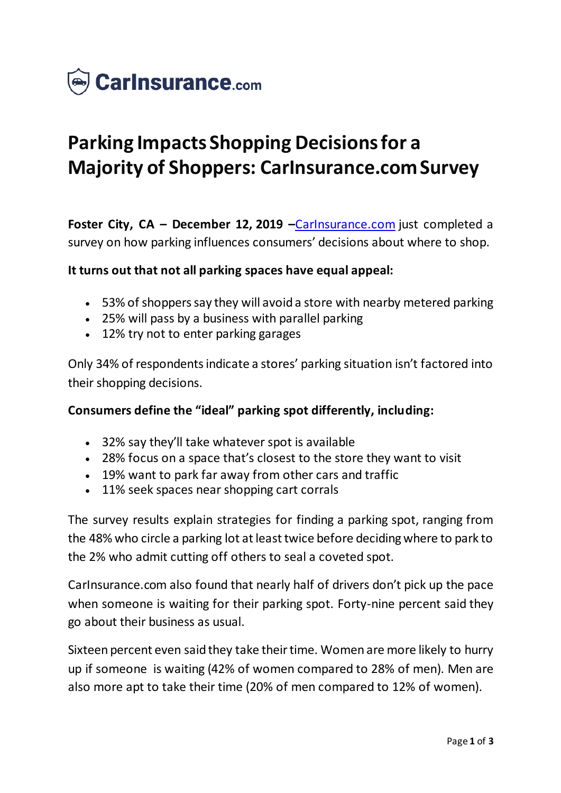

# **Parking Impacts Shopping Decisions for a Majority of Shoppers: CarInsurance.com Survey**

**Foster City, CA – December 12, 2019 –Carinsurance.com just completed a** survey on how parking influences consumers' decisions about where to shop.

#### **It turns out that not all parking spaces have equal appeal:**

- 53% of shoppers say they will avoid a store with nearby metered parking
- 25% will pass by a business with parallel parking
- 12% try not to enter parking garages

Only 34% of respondents indicate a stores' parking situation isn't factored into their shopping decisions.

#### **Consumers define the "ideal" parking spot differently, including:**

- 32% say they'll take whatever spot is available
- 28% focus on a space that's closest to the store they want to visit
- 19% want to park far away from other cars and traffic
- 11% seek spaces near shopping cart corrals

The survey results explain strategies for finding a parking spot, ranging from the 48% who circle a parking lot at least twice before deciding where to park to the 2% who admit cutting off others to seal a coveted spot.

CarInsurance.com also found that nearly half of drivers don't pick up the pace when someone is waiting for their parking spot. Forty-nine percent said they go about their business as usual.

Sixteen percent even said they take their time. Women are more likely to hurry up if someone is waiting (42% of women compared to 28% of men). Men are also more apt to take their time (20% of men compared to 12% of women).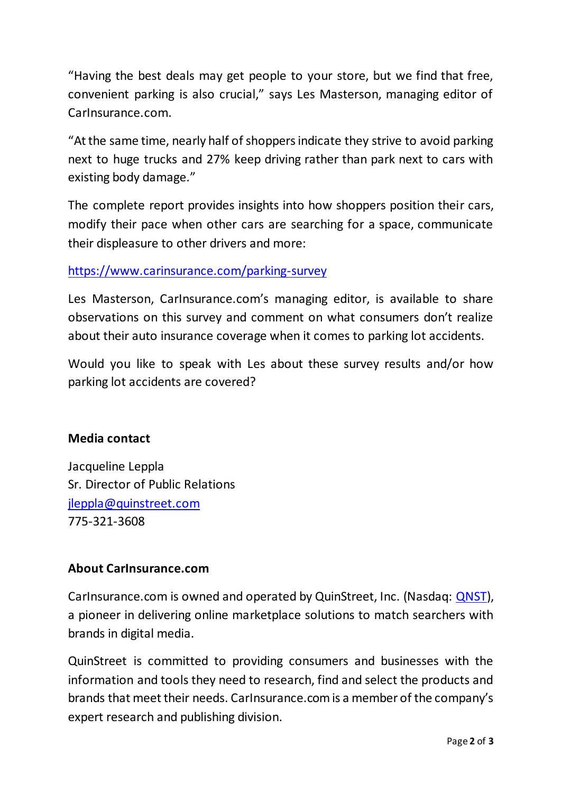"Having the best deals may get people to your store, but we find that free, convenient parking is also crucial," says Les Masterson, managing editor of CarInsurance.com.

"At the same time, nearly half of shoppers indicate they strive to avoid parking next to huge trucks and 27% keep driving rather than park next to cars with existing body damage."

The complete report provides insights into how shoppers position their cars, modify their pace when other cars are searching for a space, communicate their displeasure to other drivers and more:

## <https://www.carinsurance.com/parking-survey>

Les Masterson, CarInsurance.com's managing editor, is available to share observations on this survey and comment on what consumers don't realize about their auto insurance coverage when it comes to parking lot accidents.

Would you like to speak with Les about these survey results and/or how parking lot accidents are covered?

## **Media contact**

Jacqueline Leppla Sr. Director of Public Relations [jleppla@quinstreet.com](mailto:jleppla@quinstreet.com) 775-321-3608

## **About CarInsurance.com**

CarInsurance.com is owned and operated by QuinStreet, Inc. (Nasdaq: [QNST\)](https://www.globenewswire.com/Tracker?data=nIE80Pg4a4CF_2hibnrCwRdYrY-HFtd7HRKnYBpfLjdk8-fWdjzFAv5PNFXp51BdodbCvC6QVxm_2Yue2ZEIsw==), a pioneer in delivering online marketplace solutions to match searchers with brands in digital media.

QuinStreet is committed to providing consumers and businesses with the information and tools they need to research, find and select the products and brands that meet their needs. CarInsurance.com is a member of the company's expert research and publishing division.